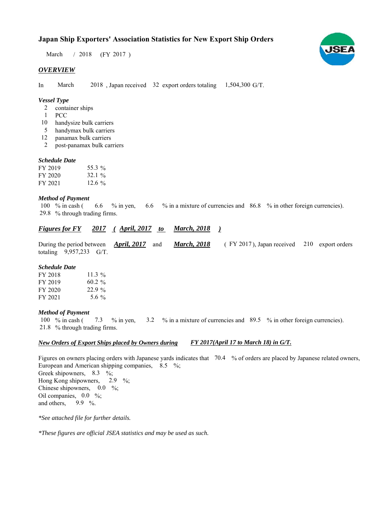# **Japan Ship Exporters' Association Statistics for New Export Ship Orders**

 $/ 2018$  (FY 2017) March

### *OVERVIEW*

In March  $2018$ , Japan received 32 export orders totaling  $1,504,300$  G/T. March

### *Vessel Type*

- container ships  $\mathcal{L}$
- PCC 1
- handysize bulk carriers 10
- handymax bulk carriers 5
- panamax bulk carriers 12
- post-panamax bulk carriers 2

#### *Schedule Date*

| FY 2019 | 55.3 %    |
|---------|-----------|
| FY 2020 | 32.1 $\%$ |
| FY 2021 | 12.6 $\%$ |

#### *Method of Payment*

% in cash ( $\qquad 6.6 \qquad$ % in yen,  $\qquad 6.6 \qquad$ % in a mixture of currencies and  $\qquad 86.8 \qquad$ % in other foreign currencies). % through trading firms. 29.8 6.6 100  $%$  in cash (

#### *<u><i>Figures for FY 2017 (April, 2017 to March, 2018 )*</u> *March, 2018*

During the period between **April, 2017** and **March, 2018** (FY 2017), Japan received 210 export orders totaling  $9,957,233$  G/T. *April, 2017 March, 2018*

#### *Schedule Date*

| FY 2018 | 11.3 $%$  |
|---------|-----------|
| FY 2019 | $60.2 \%$ |
| FY 2020 | 22.9%     |
| FY 2021 | 5.6 $\%$  |

#### *Method of Payment*

% in cash ( $\frac{7.3}{8}$  % in yen,  $\frac{3.2}{8}$  % in a mixture of currencies and  $\frac{89.5}{8}$  % in other foreign currencies). % through trading firms. 21.8 100 % in cash (

#### *New Orders of Export Ships placed by Owners during FY 2017(April 17 to March 18) in G/T.*

Figures on owners placing orders with Japanese yards indicates that 70.4 % of orders are placed by Japanese related owners, European and American shipping companies,  $8.5\%$ ; Greek shipowners,  $8.3 \frac{\%}{\%}$ Hong Kong shipowners,  $2.9\%$ ; Chinese shipowners,  $0.0\%$ ; Oil companies,  $0.0\%$ ; and others, 9.9  $\%$ . 2.9

*\*See attached file for further details.*

*\*These figures are official JSEA statistics and may be used as such.*

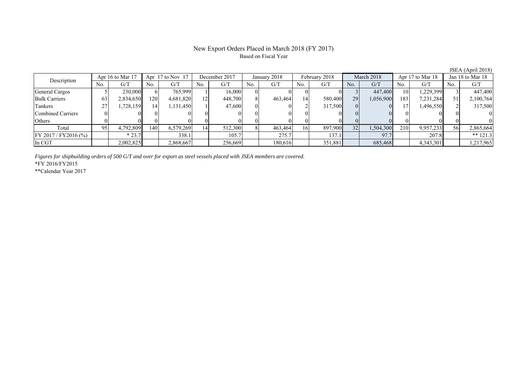## New Export Orders Placed in March 2018 (FY 2017) Based on Fiscal Year

| $0.0111$ $(1.101112010)$        |     |                         |                      |           |               |         |              |         |               |         |            |           |                  |           |                  |            |
|---------------------------------|-----|-------------------------|----------------------|-----------|---------------|---------|--------------|---------|---------------|---------|------------|-----------|------------------|-----------|------------------|------------|
| Apr 16 to Mar 17<br>Description |     |                         | Apr $17$ to Nov $17$ |           | December 2017 |         | January 2018 |         | February 2018 |         | March 2018 |           | Apr 17 to Mar 18 |           | Jan 18 to Mar 18 |            |
|                                 | No. | $\mathrm{G}/\mathrm{T}$ | No.                  | G/T       | No.           | G/T     | No.          | G/T     | No.           | G/T     | No.        | G/T       | No.              | G/T       | No.              | G/T        |
| General Cargos                  |     | 230.000ll               |                      | 765.999   |               | 16.000  |              |         |               |         |            | 447,400   | 10               | 1,229,399 |                  | 447,400    |
| <b>Bulk Carriers</b>            | 63  | 2,834,650               | 1201                 | 4,681,820 | 12            | 448,700 |              | 463,464 | 14            | 580,400 | 29         | 1,056,900 | 183              | 7,231,284 |                  | 2,100,764  |
| Tankers                         | 27  | 1,728,159               | 14                   | .131,450  |               | 47,600  |              |         |               | 317,500 |            |           |                  | 1,496,550 |                  | 317,500    |
| Combined Carriers               |     |                         |                      |           |               |         |              |         |               |         |            |           |                  |           |                  |            |
| Others                          |     |                         |                      |           |               |         |              |         |               |         |            |           |                  |           |                  |            |
| Total                           | 95. | 4,792,809               | 1401                 | 6,579,269 | 14            | 512,300 |              | 463,464 | 16            | 897,900 | 32         | 1,504,300 | 210              | 9,957,233 |                  | 2,865,664  |
| FY 2017 / FY 2016 (%)           |     | $*23.7$                 |                      | 338.1     |               | 105.7   |              | 275.7   |               | 137.1   |            | 97.7      |                  | 207.8     |                  | ** $121.3$ |
| In CGT                          |     | 2,002,825               |                      | 2,868,667 |               | 256,669 |              | 180,616 |               | 351,881 |            | 685,468   |                  | 4,343,301 |                  | 1,217,965  |

*Figures for shipbuilding orders of 500 G/T and over for export as steel vessels placed with JSEA members are covered.*

\*FY 2016/FY2015

\*\*Calendar Year 2017

JSEA (April 2018)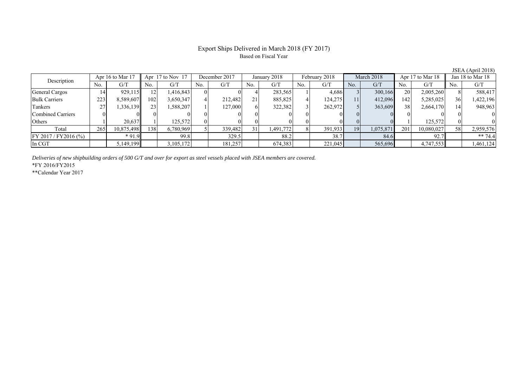# Export Ships Delivered in March 2018 (FY 2017) Based on Fiscal Year

| Apr 16 to Mar $17$<br>Description |     | Apr $17$ to Nov $17$ |                 |           | December 2017 |         | January 2018 |           | February 2018 |         | March 2018 |           | Apr 17 to Mar 18 |            | Jan 18 to Mar 18 |           |
|-----------------------------------|-----|----------------------|-----------------|-----------|---------------|---------|--------------|-----------|---------------|---------|------------|-----------|------------------|------------|------------------|-----------|
|                                   | No. | G/T                  | No.             | G/T       | No.           | G/T     | No.          | G/T       | No.           | G/T     | No.        | G/T       | No.              | G/T        | No.              | G/T       |
| <b>General Cargos</b>             | 14  | 929,115              |                 | 1,416,843 |               |         |              | 283,565   |               | 4,686   |            | 300,166   | 20               | 2,005,260  |                  | 588,417   |
| <b>Bulk Carriers</b>              | 223 | 8,589,607            | 102             | 3,650,347 |               | 212,482 | 21           | 885,825   |               | 124,275 | 11         | 412,096   | 42               | 5,285,025  | 36               | 1,422,196 |
| Tankers                           | 27  | .336.139             | 23 <sup>1</sup> | 1,588,207 |               | 127,000 |              | 322,382   |               | 262,972 |            | 363,609   | 38               | 2,664,170  |                  | 948,963   |
| Combined Carriers                 |     |                      |                 |           |               |         |              |           |               |         |            |           |                  |            |                  |           |
| Others                            |     | 20.637               |                 | 125,572   |               |         |              |           |               |         |            |           |                  | 125.572    |                  |           |
| Total                             | 265 | 10,875,498           | 1381            | 6,780,969 |               | 339,482 | 31           | 1,491,772 |               | 391,933 | 19         | 1,075,871 | 201              | 10,080,027 | 58               | 2,959,576 |
| $FY 2017 / FY 2016$ (%)           |     | $*91.9$              |                 | 99.8      |               | 329.5   |              | 88.2      |               | 38.7    |            | 84.6      |                  | 92.7       |                  | ** 74.4   |
| In CGT                            |     | 5,149,199            |                 | .105,172  |               | 181,257 |              | 674,383   |               | 221,045 |            | 565,696   |                  | 4,747,553  |                  | 1,461,124 |

*Deliveries of new shipbuilding orders of 500 G/T and over for export as steel vessels placed with JSEA members are covered.*

\*FY 2016/FY2015

\*\*Calendar Year 2017

JSEA (April 2018)